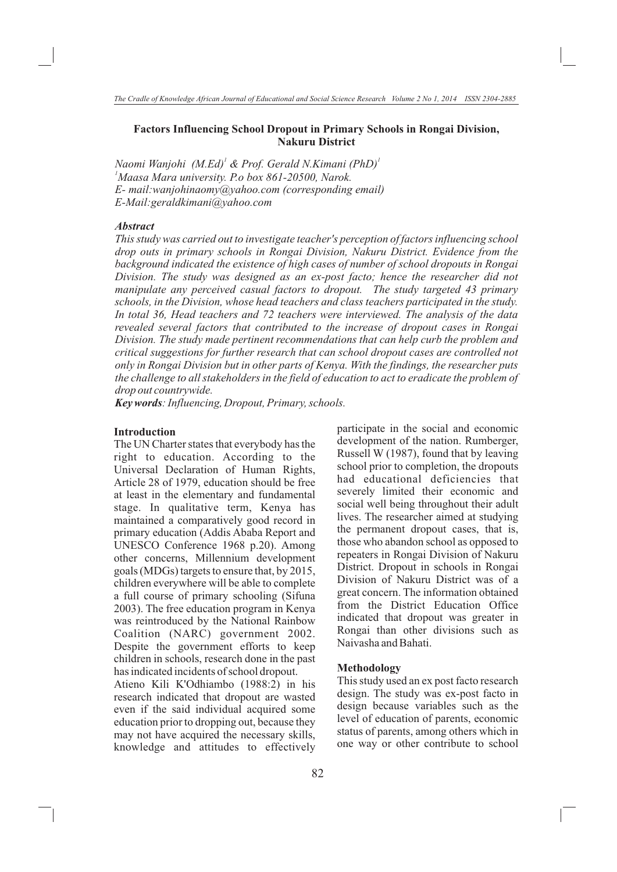# **Factors Influencing School Dropout in Primary Schools in Rongai Division, Nakuru District**

*<sup>1</sup> <sup>1</sup> Naomi Wanjohi (M.Ed) & Prof. Gerald N.Kimani (PhD) <sup>1</sup>Maasa Mara university. P.o box 861-20500, Narok. E- mail:wanjohinaomy@yahoo.com (corresponding email) E-Mail:geraldkimani@yahoo.com*

### *Abstract*

*This study was carried out to investigate teacher's perception of factors influencing school drop outs in primary schools in Rongai Division, Nakuru District. Evidence from the background indicated the existence of high cases of number of school dropouts in Rongai Division. The study was designed as an ex-post facto; hence the researcher did not manipulate any perceived casual factors to dropout. The study targeted 43 primary schools, in the Division, whose head teachers and class teachers participated in the study. In total 36, Head teachers and 72 teachers were interviewed. The analysis of the data revealed several factors that contributed to the increase of dropout cases in Rongai Division. The study made pertinent recommendations that can help curb the problem and critical suggestions for further research that can school dropout cases are controlled not only in Rongai Division but in other parts of Kenya. With the findings, the researcher puts the challenge to all stakeholders in the field of education to act to eradicate the problem of drop out countrywide.*

*Key words: Influencing, Dropout, Primary, schools.*

### **Introduction**

The UN Charter states that everybody has the right to education. According to the Universal Declaration of Human Rights, Article 28 of 1979, education should be free at least in the elementary and fundamental stage. In qualitative term, Kenya has maintained a comparatively good record in primary education (Addis Ababa Report and UNESCO Conference 1968 p.20). Among other concerns, Millennium development goals (MDGs) targets to ensure that, by 2015, children everywhere will be able to complete a full course of primary schooling (Sifuna 2003). The free education program in Kenya was reintroduced by the National Rainbow Coalition (NARC) government 2002. Despite the government efforts to keep children in schools, research done in the past has indicated incidents of school dropout. Atieno Kili K'Odhiambo (1988:2) in his research indicated that dropout are wasted even if the said individual acquired some

education prior to dropping out, because they may not have acquired the necessary skills, knowledge and attitudes to effectively

participate in the social and economic development of the nation. Rumberger, Russell W (1987), found that by leaving school prior to completion, the dropouts had educational deficiencies that severely limited their economic and social well being throughout their adult lives. The researcher aimed at studying the permanent dropout cases, that is, those who abandon school as opposed to repeaters in Rongai Division of Nakuru District. Dropout in schools in Rongai Division of Nakuru District was of a great concern. The information obtained from the District Education Office indicated that dropout was greater in Rongai than other divisions such as Naivasha and Bahati.

#### **Methodology**

This study used an ex post facto research design. The study was ex-post facto in design because variables such as the level of education of parents, economic status of parents, among others which in one way or other contribute to school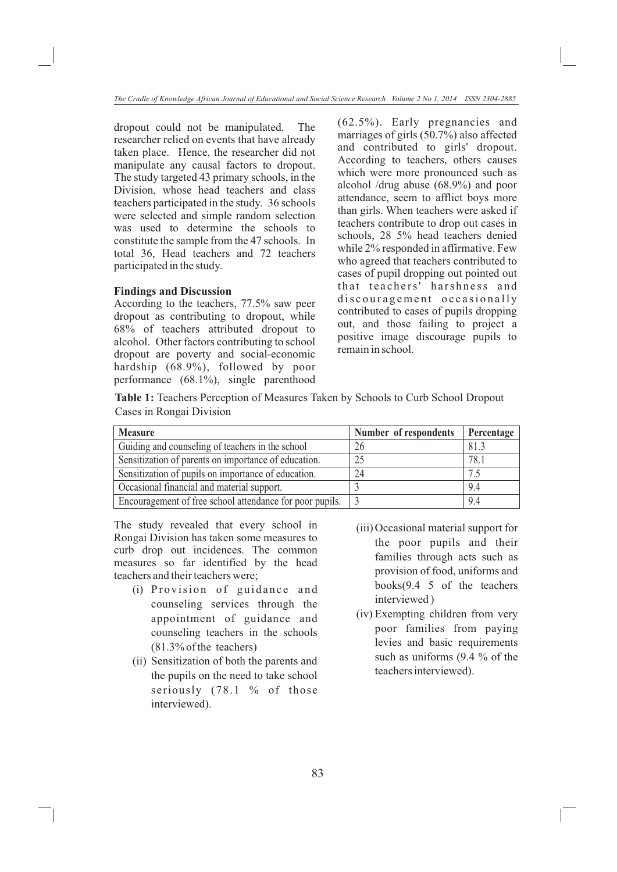dropout could not be manipulated. The researcher relied on events that have already taken place. Hence, the researcher did not manipulate any causal factors to dropout. The study targeted 43 primary schools, in the Division, whose head teachers and class teachers participated in the study. 36 schools were selected and simple random selection was used to determine the schools to constitute the sample from the 47 schools. In total 36, Head teachers and 72 teachers participated in the study.

### **Findings and Discussion**

According to the teachers, 77.5% saw peer dropout as contributing to dropout, while 68% of teachers attributed dropout to alcohol. Other factors contributing to school dropout are poverty and social-economic hardship (68.9%), followed by poor performance (68.1%), single parenthood (62.5%). Early pregnancies and marriages of girls (50.7%) also affected and contributed to girls' dropout. According to teachers, others causes which were more pronounced such as alcohol /drug abuse (68.9%) and poor attendance, seem to afflict boys more than girls. When teachers were asked if teachers contribute to drop out cases in schools, 28 5% head teachers denied while 2% responded in affirmative. Few who agreed that teachers contributed to cases of pupil dropping out pointed out that teachers' harshness and discouragement occasionally contributed to cases of pupils dropping out, and those failing to project a positive image discourage pupils to remain in school.

**Table 1:** Teachers Perception of Measures Taken by Schools to Curb School Dropout Cases in Rongai Division

| <b>Measure</b>                                           | Number of respondents | Percentage |
|----------------------------------------------------------|-----------------------|------------|
| Guiding and counseling of teachers in the school         | 26                    | 81.3       |
| Sensitization of parents on importance of education.     | 25                    | 78.1       |
| Sensitization of pupils on importance of education.      | 24                    | 7.5        |
| Occasional financial and material support.               |                       | 9.4        |
| Encouragement of free school attendance for poor pupils. |                       | 9.4        |

The study revealed that every school in Rongai Division has taken some measures to curb drop out incidences. The common measures so far identified by the head teachers and their teachers were;

- (i) Provision of guidance and counseling services through the appointment of guidance and counseling teachers in the schools (81.3% of the teachers)
- (ii) Sensitization of both the parents and the pupils on the need to take school seriously (78.1 % of those interviewed).
- (iii) Occasional material support for the poor pupils and their families through acts such as provision of food, uniforms and books(9.4 5 of the teachers interviewed )
- (iv) Exempting children from very poor families from paying levies and basic requirements such as uniforms (9.4 % of the teachers interviewed).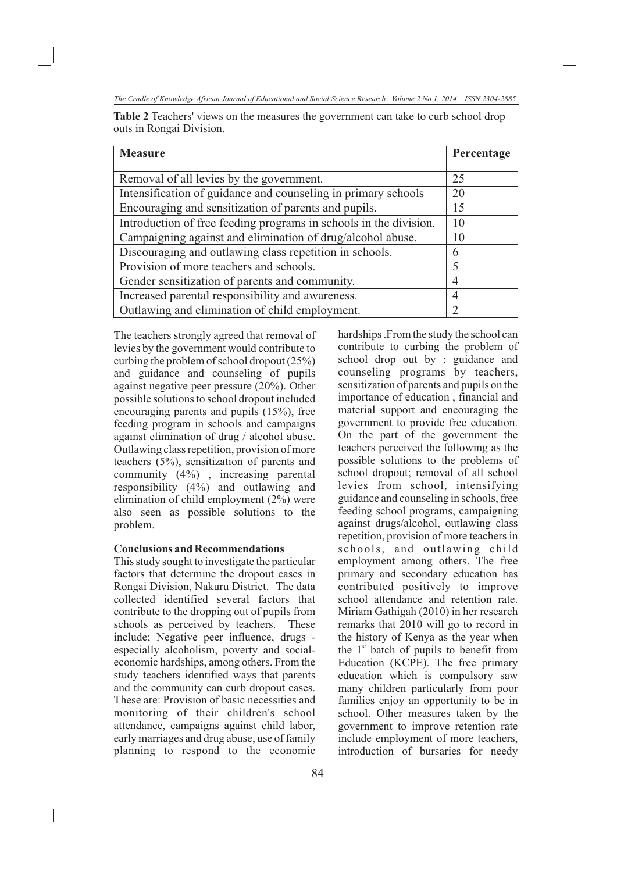| <b>Measure</b>                                                    | Percentage    |
|-------------------------------------------------------------------|---------------|
|                                                                   |               |
| Removal of all levies by the government.                          | 25            |
| Intensification of guidance and counseling in primary schools     | 20            |
| Encouraging and sensitization of parents and pupils.              | 15            |
| Introduction of free feeding programs in schools in the division. | 10            |
| Campaigning against and elimination of drug/alcohol abuse.        | 10            |
| Discouraging and outlawing class repetition in schools.           | 6             |
| Provision of more teachers and schools.                           | 5             |
| Gender sensitization of parents and community.                    | 4             |
| Increased parental responsibility and awareness.                  | 4             |
| Outlawing and elimination of child employment.                    | $\mathcal{D}$ |

**Table 2** Teachers' views on the measures the government can take to curb school drop outs in Rongai Division.

The teachers strongly agreed that removal of levies by the government would contribute to curbing the problem of school dropout (25%) and guidance and counseling of pupils against negative peer pressure (20%). Other possible solutions to school dropout included encouraging parents and pupils (15%), free feeding program in schools and campaigns against elimination of drug / alcohol abuse. Outlawing class repetition, provision of more teachers (5%), sensitization of parents and community (4%) , increasing parental responsibility (4%) and outlawing and elimination of child employment (2%) were also seen as possible solutions to the problem.

# **Conclusions and Recommendations**

This study sought to investigate the particular factors that determine the dropout cases in Rongai Division, Nakuru District. The data collected identified several factors that contribute to the dropping out of pupils from schools as perceived by teachers. These include; Negative peer influence, drugs especially alcoholism, poverty and socialeconomic hardships, among others. From the study teachers identified ways that parents and the community can curb dropout cases. These are: Provision of basic necessities and monitoring of their children's school attendance, campaigns against child labor, early marriages and drug abuse, use of family planning to respond to the economic hardships .From the study the school can contribute to curbing the problem of school drop out by ; guidance and counseling programs by teachers, sensitization of parents and pupils on the importance of education , financial and material support and encouraging the government to provide free education. On the part of the government the teachers perceived the following as the possible solutions to the problems of school dropout; removal of all school levies from school, intensifying guidance and counseling in schools, free feeding school programs, campaigning against drugs/alcohol, outlawing class repetition, provision of more teachers in schools, and outlawing child employment among others. The free primary and secondary education has contributed positively to improve school attendance and retention rate. Miriam Gathigah (2010) in her research remarks that 2010 will go to record in the history of Kenya as the year when the  $1<sup>st</sup>$  batch of pupils to benefit from Education (KCPE). The free primary education which is compulsory saw many children particularly from poor families enjoy an opportunity to be in school. Other measures taken by the government to improve retention rate include employment of more teachers, introduction of bursaries for needy